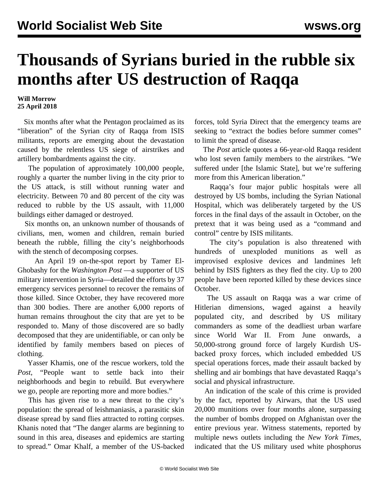## **Thousands of Syrians buried in the rubble six months after US destruction of Raqqa**

## **Will Morrow 25 April 2018**

 Six months after what the Pentagon proclaimed as its "liberation" of the Syrian city of Raqqa from ISIS militants, reports are emerging about the devastation caused by the relentless US siege of airstrikes and artillery bombardments against the city.

 The population of approximately 100,000 people, roughly a quarter the number living in the city prior to the US attack, is still without running water and electricity. Between 70 and 80 percent of the city was reduced to rubble by the US assault, with 11,000 buildings either damaged or destroyed.

 Six months on, an unknown number of thousands of civilians, men, women and children, remain buried beneath the rubble, filling the city's neighborhoods with the stench of decomposing corpses.

 An April 19 on-the-spot report by Tamer El-Ghobashy for the *Washington Post* —a supporter of US military intervention in Syria—detailed the efforts by 37 emergency services personnel to recover the remains of those killed. Since October, they have recovered more than 300 bodies. There are another 6,000 reports of human remains throughout the city that are yet to be responded to. Many of those discovered are so badly decomposed that they are unidentifiable, or can only be identified by family members based on pieces of clothing.

 Yasser Khamis, one of the rescue workers, told the *Post*, "People want to settle back into their neighborhoods and begin to rebuild. But everywhere we go, people are reporting more and more bodies."

 This has given rise to a new threat to the city's population: the spread of leishmaniasis, a parasitic skin disease spread by sand flies attracted to rotting corpses. Khanis noted that "The danger alarms are beginning to sound in this area, diseases and epidemics are starting to spread." Omar Khalf, a member of the US-backed forces, told Syria Direct that the emergency teams are seeking to "extract the bodies before summer comes" to limit the spread of disease.

 The *Post* article quotes a 66-year-old Raqqa resident who lost seven family members to the airstrikes. "We suffered under [the Islamic State], but we're suffering more from this American liberation."

 Raqqa's four major public hospitals were all destroyed by US bombs, including the Syrian National Hospital, which was deliberately targeted by the US forces in the final days of the assault in October, on the pretext that it was being used as a "command and control" centre by ISIS militants.

 The city's population is also threatened with hundreds of unexploded munitions as well as improvised explosive devices and landmines left behind by ISIS fighters as they fled the city. Up to 200 people have been reported killed by these devices since October.

 The US assault on Raqqa was a war crime of Hitlerian dimensions, waged against a heavily populated city, and described by US military commanders as some of the deadliest urban warfare since World War II. From June onwards, a 50,000-strong ground force of largely Kurdish USbacked proxy forces, which included embedded US special operations forces, made their assault backed by shelling and air bombings that have devastated Raqqa's social and physical infrastructure.

 An indication of the scale of this crime is provided by the fact, reported by Airwars, that the US used 20,000 munitions over four months alone, surpassing the number of bombs dropped on Afghanistan over the entire previous year. Witness statements, reported by multiple news outlets including the *New York Times*, indicated that the US military used white phosphorus